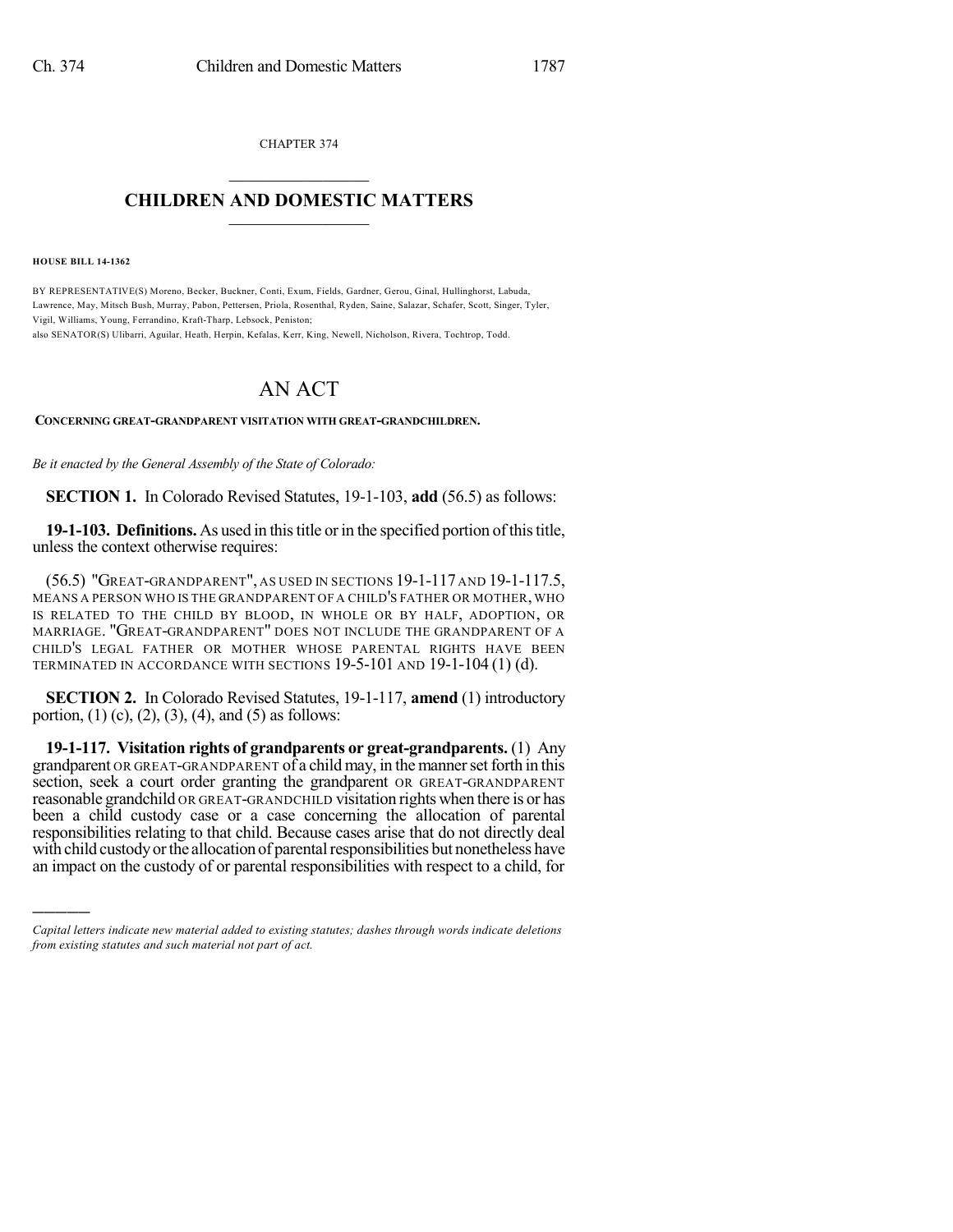CHAPTER 374  $\mathcal{L}_\text{max}$  . The set of the set of the set of the set of the set of the set of the set of the set of the set of the set of the set of the set of the set of the set of the set of the set of the set of the set of the set

## **CHILDREN AND DOMESTIC MATTERS**  $\_$

**HOUSE BILL 14-1362**

)))))

BY REPRESENTATIVE(S) Moreno, Becker, Buckner, Conti, Exum, Fields, Gardner, Gerou, Ginal, Hullinghorst, Labuda, Lawrence, May, Mitsch Bush, Murray, Pabon, Pettersen, Priola, Rosenthal, Ryden, Saine, Salazar, Schafer, Scott, Singer, Tyler, Vigil, Williams, Young, Ferrandino, Kraft-Tharp, Lebsock, Peniston;

also SENATOR(S) Ulibarri, Aguilar, Heath, Herpin, Kefalas, Kerr, King, Newell, Nicholson, Rivera, Tochtrop, Todd.

## AN ACT

## **CONCERNING GREAT-GRANDPARENT VISITATION WITH GREAT-GRANDCHILDREN.**

*Be it enacted by the General Assembly of the State of Colorado:*

**SECTION 1.** In Colorado Revised Statutes, 19-1-103, **add** (56.5) as follows:

19-1-103. Definitions. As used in this title or in the specified portion of this title, unless the context otherwise requires:

(56.5) "GREAT-GRANDPARENT", AS USED IN SECTIONS 19-1-117 AND 19-1-117.5, MEANS A PERSON WHO IS THE GRANDPARENT OF A CHILD'S FATHER OR MOTHER, WHO IS RELATED TO THE CHILD BY BLOOD, IN WHOLE OR BY HALF, ADOPTION, OR MARRIAGE. "GREAT-GRANDPARENT" DOES NOT INCLUDE THE GRANDPARENT OF A CHILD'S LEGAL FATHER OR MOTHER WHOSE PARENTAL RIGHTS HAVE BEEN TERMINATED IN ACCORDANCE WITH SECTIONS 19-5-101 AND 19-1-104 (1) (d).

**SECTION 2.** In Colorado Revised Statutes, 19-1-117, **amend** (1) introductory portion,  $(1)$  (c),  $(2)$ ,  $(3)$ ,  $(4)$ , and  $(5)$  as follows:

**19-1-117. Visitation rights of grandparents or great-grandparents.** (1) Any grandparent OR GREAT-GRANDPARENT of a child may, in the manner set forth in this section, seek a court order granting the grandparent OR GREAT-GRANDPARENT reasonable grandchild OR GREAT-GRANDCHILD visitation rights when there is or has been a child custody case or a case concerning the allocation of parental responsibilities relating to that child. Because cases arise that do not directly deal with child custody or the allocation of parental responsibilities but nonetheless have an impact on the custody of or parental responsibilities with respect to a child, for

*Capital letters indicate new material added to existing statutes; dashes through words indicate deletions from existing statutes and such material not part of act.*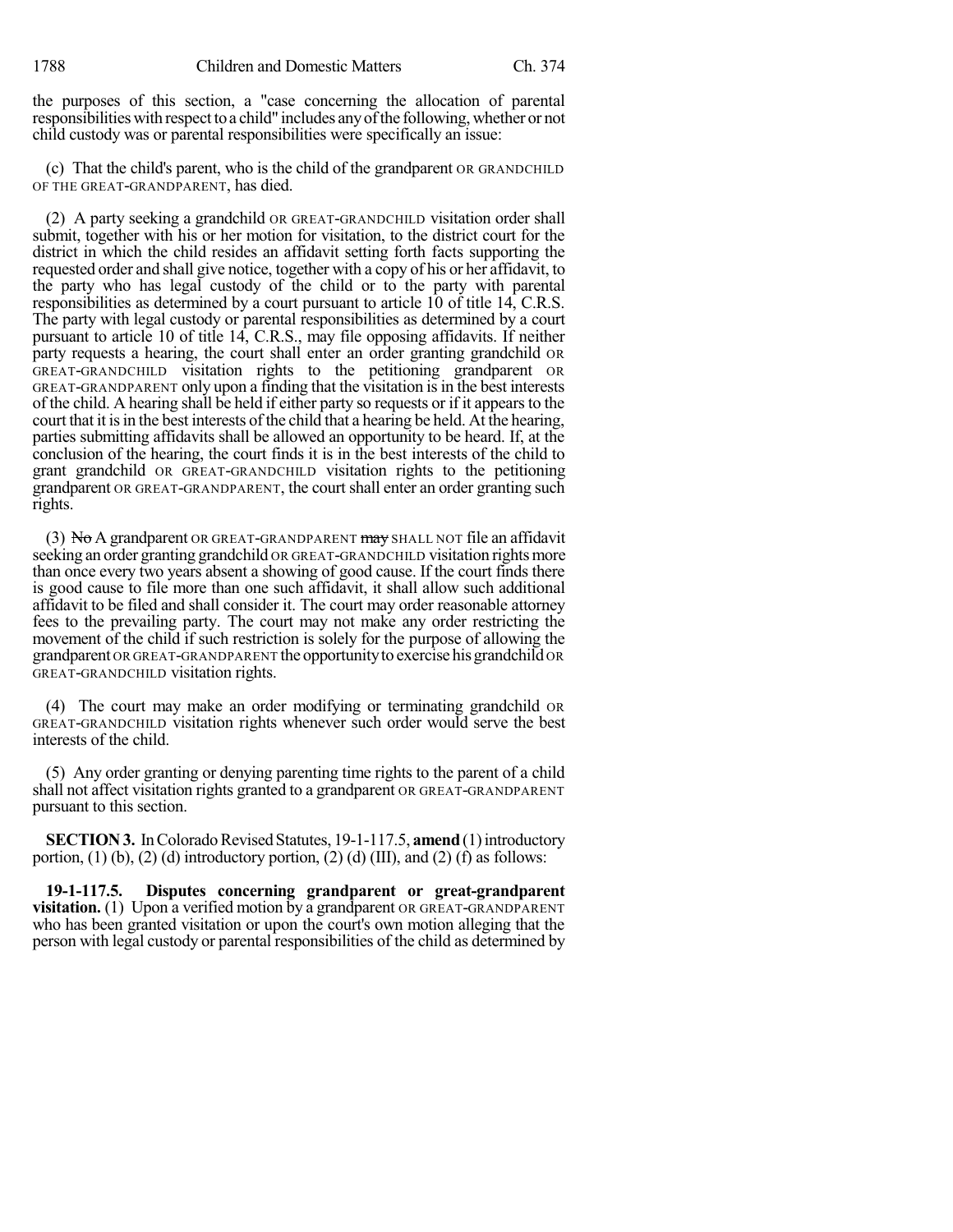the purposes of this section, a "case concerning the allocation of parental responsibilities with respect to a child" includes any of the following, whether or not child custody was or parental responsibilities were specifically an issue:

(c) That the child's parent, who is the child of the grandparent OR GRANDCHILD OF THE GREAT-GRANDPARENT, has died.

(2) A party seeking a grandchild OR GREAT-GRANDCHILD visitation order shall submit, together with his or her motion for visitation, to the district court for the district in which the child resides an affidavit setting forth facts supporting the requested order and shall give notice, together with a copy of his or her affidavit, to the party who has legal custody of the child or to the party with parental responsibilities as determined by a court pursuant to article 10 of title 14, C.R.S. The party with legal custody or parental responsibilities as determined by a court pursuant to article 10 of title 14, C.R.S., may file opposing affidavits. If neither party requests a hearing, the court shall enter an order granting grandchild OR GREAT-GRANDCHILD visitation rights to the petitioning grandparent OR GREAT-GRANDPARENT only upon a finding that the visitation is in the best interests of the child. A hearing shall be held if either party so requests or if it appearsto the court that it is in the best interests of the child that a hearing be held. At the hearing, parties submitting affidavits shall be allowed an opportunity to be heard. If, at the conclusion of the hearing, the court finds it is in the best interests of the child to grant grandchild OR GREAT-GRANDCHILD visitation rights to the petitioning grandparent OR GREAT-GRANDPARENT, the court shall enter an order granting such rights.

(3) No A grandparent OR GREAT-GRANDPARENT  $\frac{may}{day}$  SHALL NOT file an affidavit seeking an order granting grandchild OR GREAT-GRANDCHILD visitation rights more than once every two years absent a showing of good cause. If the court finds there is good cause to file more than one such affidavit, it shall allow such additional affidavit to be filed and shall consider it. The court may order reasonable attorney fees to the prevailing party. The court may not make any order restricting the movement of the child if such restriction is solely for the purpose of allowing the grandparent OR GREAT-GRANDPARENT theopportunityto exercise hisgrandchild OR GREAT-GRANDCHILD visitation rights.

(4) The court may make an order modifying or terminating grandchild OR GREAT-GRANDCHILD visitation rights whenever such order would serve the best interests of the child.

(5) Any order granting or denying parenting time rights to the parent of a child shall not affect visitation rights granted to a grandparent OR GREAT-GRANDPARENT pursuant to this section.

**SECTION 3.** In Colorado Revised Statutes, 19-1-117.5, **amend** (1) introductory portion, (1) (b), (2) (d) introductory portion, (2) (d) (III), and (2) (f) as follows:

**19-1-117.5. Disputes concerning grandparent or great-grandparent visitation.** (1) Upon a verified motion by a grandparent OR GREAT-GRANDPARENT who has been granted visitation or upon the court's own motion alleging that the person with legal custody or parental responsibilities of the child as determined by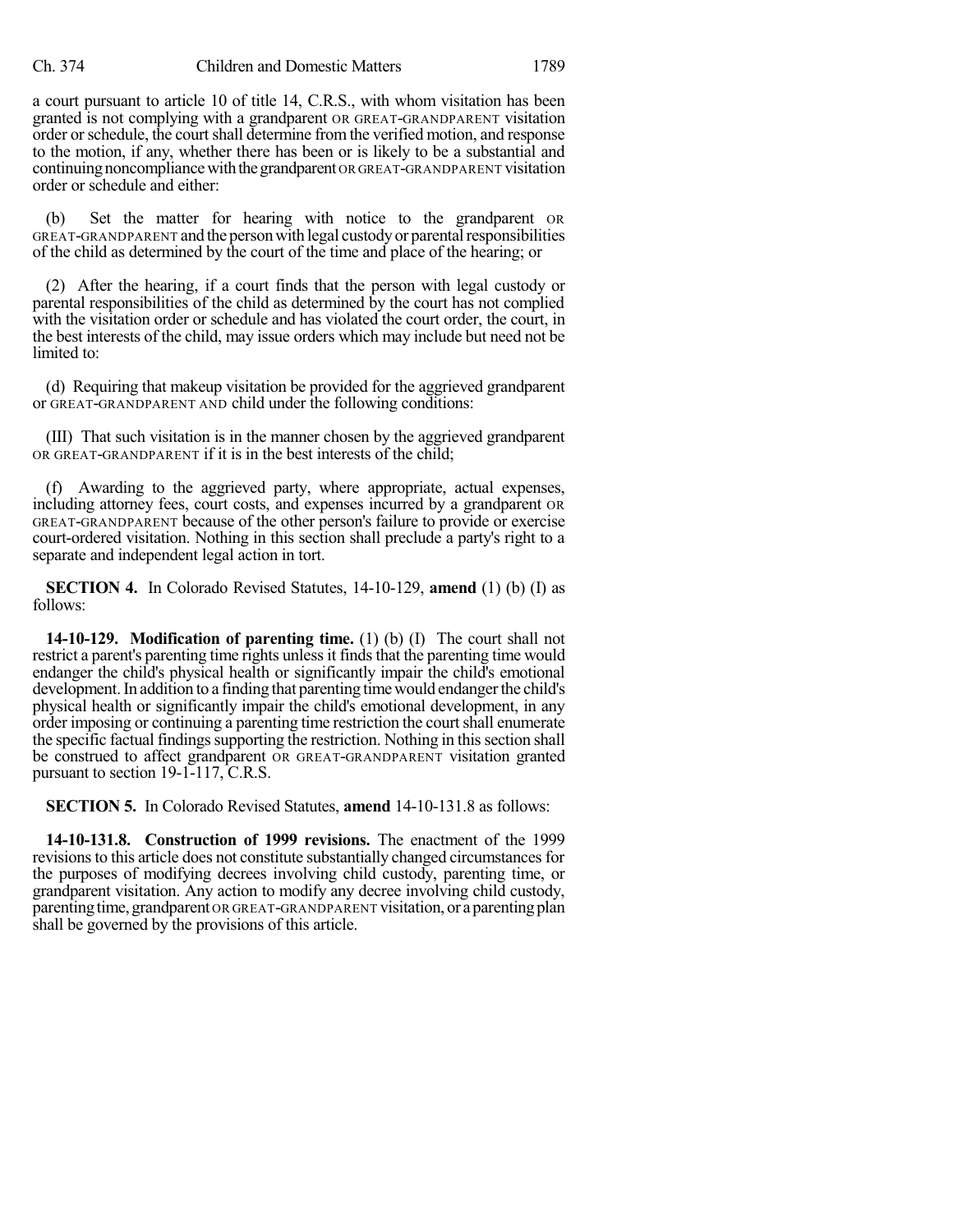a court pursuant to article 10 of title 14, C.R.S., with whom visitation has been granted is not complying with a grandparent OR GREAT-GRANDPARENT visitation order orschedule, the courtshall determine fromthe verified motion, and response to the motion, if any, whether there has been or is likely to be a substantial and continuing noncompliance with the grandparent OR GREAT-GRANDPARENT visitation order or schedule and either:

(b) Set the matter for hearing with notice to the grandparent OR GREAT-GRANDPARENT and the person with legal custody or parental responsibilities of the child as determined by the court of the time and place of the hearing; or

(2) After the hearing, if a court finds that the person with legal custody or parental responsibilities of the child as determined by the court has not complied with the visitation order or schedule and has violated the court order, the court, in the best interests of the child, may issue orders which may include but need not be limited to:

(d) Requiring that makeup visitation be provided for the aggrieved grandparent or GREAT-GRANDPARENT AND child under the following conditions:

(III) That such visitation is in the manner chosen by the aggrieved grandparent OR GREAT-GRANDPARENT if it is in the best interests of the child;

(f) Awarding to the aggrieved party, where appropriate, actual expenses, including attorney fees, court costs, and expenses incurred by a grandparent OR GREAT-GRANDPARENT because of the other person's failure to provide or exercise court-ordered visitation. Nothing in this section shall preclude a party's right to a separate and independent legal action in tort.

**SECTION 4.** In Colorado Revised Statutes, 14-10-129, **amend** (1) (b) (I) as follows:

**14-10-129. Modification of parenting time.** (1) (b) (I) The court shall not restrict a parent's parenting time rights unless it finds that the parenting time would endanger the child's physical health or significantly impair the child's emotional development. In addition to a finding that parenting time would endanger the child's physical health or significantly impair the child's emotional development, in any order imposing or continuing a parenting time restriction the court shall enumerate the specific factual findings supporting the restriction. Nothing in this section shall be construed to affect grandparent OR GREAT-GRANDPARENT visitation granted pursuant to section 19-1-117, C.R.S.

**SECTION 5.** In Colorado Revised Statutes, **amend** 14-10-131.8 as follows:

**14-10-131.8. Construction of 1999 revisions.** The enactment of the 1999 revisions to this article does not constitute substantially changed circumstances for the purposes of modifying decrees involving child custody, parenting time, or grandparent visitation. Any action to modify any decree involving child custody, parenting time, grandparent OR GREAT-GRANDPARENT visitation, or a parenting plan shall be governed by the provisions of this article.